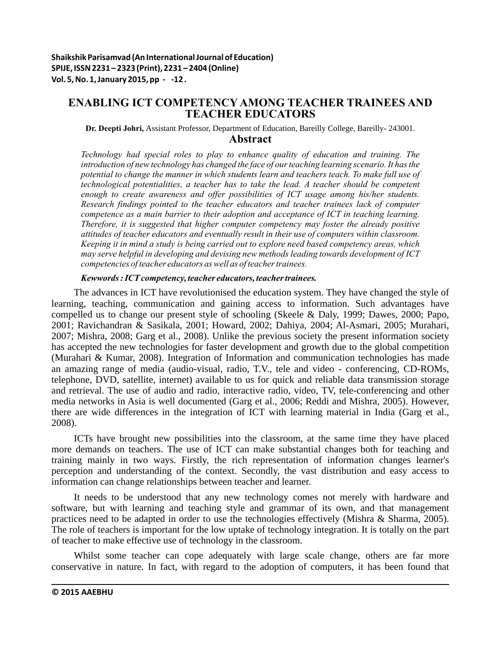# **ENABLING ICT COMPETENCY AMONG TEACHER TRAINEES AND TEACHER EDUCATORS**

**Dr. Deepti Johri,** Assistant Professor, Department of Education, Bareilly College, Bareilly- 243001. **Abstract**

*Technology had special roles to play to enhance quality of education and training. The introduction of new technology has changed the face of our teaching learning scenario. It has the potential to change the manner in which students learn and teachers teach. To make full use of technological potentialities, a teacher has to take the lead. A teacher should be competent enough to create awareness and offer possibilities of ICT usage among his/her students. Research findings pointed to the teacher educators and teacher trainees lack of computer competence as a main barrier to their adoption and acceptance of ICT in teaching learning. Therefore, it is suggested that higher computer competency may foster the already positive attitudes of teacher educators and eventually result in their use of computers within classroom. Keeping it in mind a study is being carried out to explore need based competency areas, which may serve helpful in developing and devising new methods leading towards development of ICT competencies of teacher educators as well as of teacher trainees.*

*Kewwords : ICT competency, teacher educators, teacher trainees.*

The advances in ICT have revolutionised the education system. They have changed the style of learning, teaching, communication and gaining access to information. Such advantages have compelled us to change our present style of schooling (Skeele & Daly, 1999; Dawes, 2000; Papo, 2001; Ravichandran & Sasikala, 2001; Howard, 2002; Dahiya, 2004; Al-Asmari, 2005; Murahari, 2007; Mishra, 2008; Garg et al., 2008). Unlike the previous society the present information society has accepted the new technologies for faster development and growth due to the global competition (Murahari & Kumar, 2008). Integration of Information and communication technologies has made an amazing range of media (audio-visual, radio, T.V., tele and video - conferencing, CD-ROMs, telephone, DVD, satellite, internet) available to us for quick and reliable data transmission storage and retrieval. The use of audio and radio, interactive radio, video, TV, tele-conferencing and other media networks in Asia is well documented (Garg et al., 2006; Reddi and Mishra, 2005). However, there are wide differences in the integration of ICT with learning material in India (Garg et al., 2008).

ICTs have brought new possibilities into the classroom, at the same time they have placed more demands on teachers. The use of ICT can make substantial changes both for teaching and training mainly in two ways. Firstly, the rich representation of information changes learner's perception and understanding of the context. Secondly, the vast distribution and easy access to information can change relationships between teacher and learner.

It needs to be understood that any new technology comes not merely with hardware and software, but with learning and teaching style and grammar of its own, and that management practices need to be adapted in order to use the technologies effectively (Mishra & Sharma, 2005). The role of teachers is important for the low uptake of technology integration. It is totally on the part of teacher to make effective use of technology in the classroom.

Whilst some teacher can cope adequately with large scale change, others are far more conservative in nature. In fact, with regard to the adoption of computers, it has been found that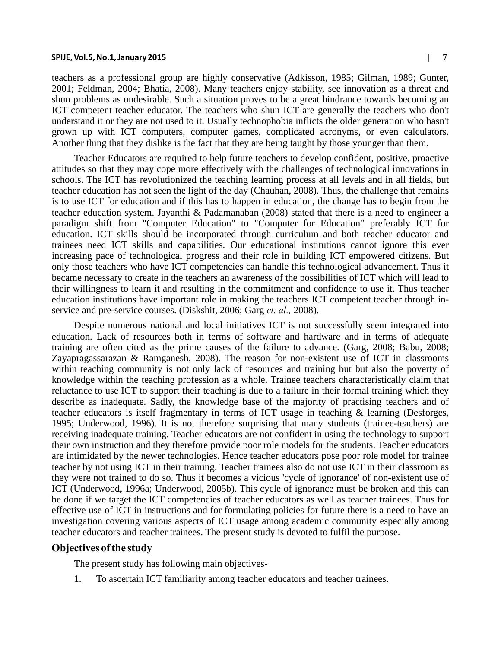#### **SPIJE, Vol.5, No.1, January 2015 | 7**

teachers as a professional group are highly conservative (Adkisson, 1985; Gilman, 1989; Gunter, 2001; Feldman, 2004; Bhatia, 2008). Many teachers enjoy stability, see innovation as a threat and shun problems as undesirable. Such a situation proves to be a great hindrance towards becoming an ICT competent teacher educator. The teachers who shun ICT are generally the teachers who don't understand it or they are not used to it. Usually technophobia inflicts the older generation who hasn't grown up with ICT computers, computer games, complicated acronyms, or even calculators. Another thing that they dislike is the fact that they are being taught by those younger than them.

Teacher Educators are required to help future teachers to develop confident, positive, proactive attitudes so that they may cope more effectively with the challenges of technological innovations in schools. The ICT has revolutionized the teaching learning process at all levels and in all fields, but teacher education has not seen the light of the day (Chauhan, 2008). Thus, the challenge that remains is to use ICT for education and if this has to happen in education, the change has to begin from the teacher education system. Jayanthi & Padamanaban (2008) stated that there is a need to engineer a paradigm shift from "Computer Education" to "Computer for Education" preferably ICT for education. ICT skills should be incorporated through curriculum and both teacher educator and trainees need ICT skills and capabilities. Our educational institutions cannot ignore this ever increasing pace of technological progress and their role in building ICT empowered citizens. But only those teachers who have ICT competencies can handle this technological advancement. Thus it became necessary to create in the teachers an awareness of the possibilities of ICT which will lead to their willingness to learn it and resulting in the commitment and confidence to use it. Thus teacher education institutions have important role in making the teachers ICT competent teacher through inservice and pre-service courses. (Diskshit, 2006; Garg *et. al.,* 2008).

Despite numerous national and local initiatives ICT is not successfully seem integrated into education. Lack of resources both in terms of software and hardware and in terms of adequate training are often cited as the prime causes of the failure to advance. (Garg, 2008; Babu, 2008; Zayapragassarazan & Ramganesh, 2008). The reason for non-existent use of ICT in classrooms within teaching community is not only lack of resources and training but but also the poverty of knowledge within the teaching profession as a whole. Trainee teachers characteristically claim that reluctance to use ICT to support their teaching is due to a failure in their formal training which they describe as inadequate. Sadly, the knowledge base of the majority of practising teachers and of teacher educators is itself fragmentary in terms of ICT usage in teaching  $\&$  learning (Desforges, 1995; Underwood, 1996). It is not therefore surprising that many students (trainee-teachers) are receiving inadequate training. Teacher educators are not confident in using the technology to support their own instruction and they therefore provide poor role models for the students. Teacher educators are intimidated by the newer technologies. Hence teacher educators pose poor role model for trainee teacher by not using ICT in their training. Teacher trainees also do not use ICT in their classroom as they were not trained to do so. Thus it becomes a vicious 'cycle of ignorance' of non-existent use of ICT (Underwood, 1996a; Underwood, 2005b). This cycle of ignorance must be broken and this can be done if we target the ICT competencies of teacher educators as well as teacher trainees. Thus for effective use of ICT in instructions and for formulating policies for future there is a need to have an investigation covering various aspects of ICT usage among academic community especially among teacher educators and teacher trainees. The present study is devoted to fulfil the purpose.

#### **Objectives of the study**

The present study has following main objectives-

1. To ascertain ICT familiarity among teacher educators and teacher trainees.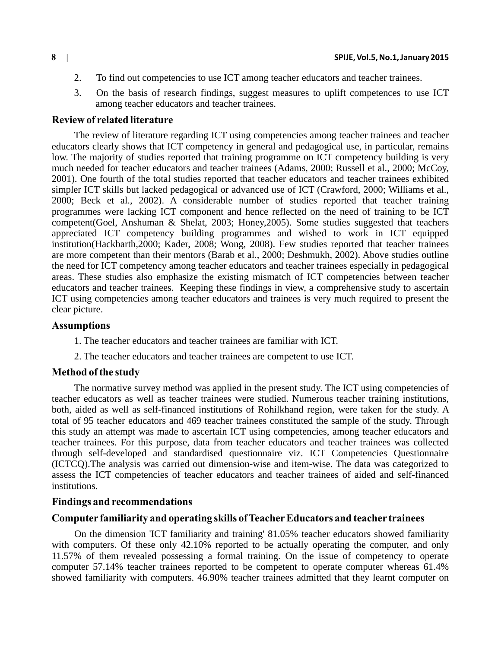- 2. To find out competencies to use ICT among teacher educators and teacher trainees.
- 3. On the basis of research findings, suggest measures to uplift competences to use ICT among teacher educators and teacher trainees.

### **Review of related literature**

The review of literature regarding ICT using competencies among teacher trainees and teacher educators clearly shows that ICT competency in general and pedagogical use, in particular, remains low. The majority of studies reported that training programme on ICT competency building is very much needed for teacher educators and teacher trainees (Adams, 2000; Russell et al., 2000; McCoy, 2001). One fourth of the total studies reported that teacher educators and teacher trainees exhibited simpler ICT skills but lacked pedagogical or advanced use of ICT (Crawford, 2000; Williams et al., 2000; Beck et al., 2002). A considerable number of studies reported that teacher training programmes were lacking ICT component and hence reflected on the need of training to be ICT competent(Goel, Anshuman & Shelat, 2003; Honey,2005). Some studies suggested that teachers appreciated ICT competency building programmes and wished to work in ICT equipped institution(Hackbarth,2000; Kader, 2008; Wong, 2008). Few studies reported that teacher trainees are more competent than their mentors (Barab et al., 2000; Deshmukh, 2002). Above studies outline the need for ICT competency among teacher educators and teacher trainees especially in pedagogical areas. These studies also emphasize the existing mismatch of ICT competencies between teacher educators and teacher trainees. Keeping these findings in view, a comprehensive study to ascertain ICT using competencies among teacher educators and trainees is very much required to present the clear picture.

### **Assumptions**

- 1. The teacher educators and teacher trainees are familiar with ICT.
- 2. The teacher educators and teacher trainees are competent to use ICT.

### **Method of the study**

The normative survey method was applied in the present study. The ICT using competencies of teacher educators as well as teacher trainees were studied. Numerous teacher training institutions, both, aided as well as self-financed institutions of Rohilkhand region, were taken for the study. A total of 95 teacher educators and 469 teacher trainees constituted the sample of the study. Through this study an attempt was made to ascertain ICT using competencies, among teacher educators and teacher trainees. For this purpose, data from teacher educators and teacher trainees was collected through self-developed and standardised questionnaire viz. ICT Competencies Questionnaire (ICTCQ).The analysis was carried out dimension-wise and item-wise. The data was categorized to assess the ICT competencies of teacher educators and teacher trainees of aided and self-financed institutions.

### **Findings and recommendations**

## **Computer familiarity and operating skills of Teacher Educators and teacher trainees**

On the dimension 'ICT familiarity and training' 81.05% teacher educators showed familiarity with computers. Of these only 42.10% reported to be actually operating the computer, and only 11.57% of them revealed possessing a formal training. On the issue of competency to operate computer 57.14% teacher trainees reported to be competent to operate computer whereas 61.4% showed familiarity with computers. 46.90% teacher trainees admitted that they learnt computer on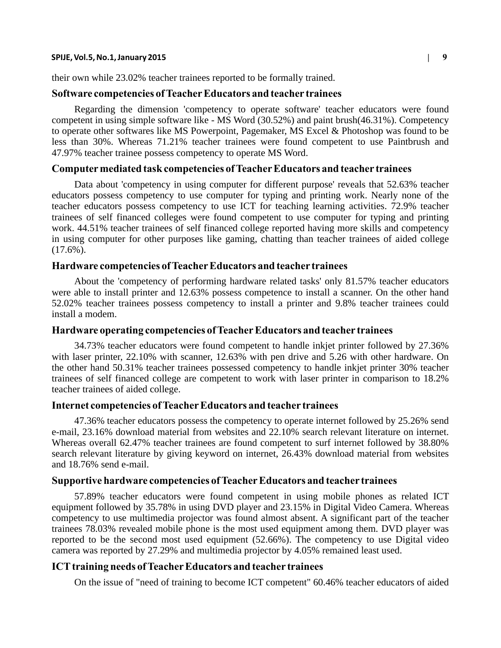#### **SPIJE, Vol.5, No.1, January 2015 | 9**

their own while 23.02% teacher trainees reported to be formally trained.

#### **Software competencies of Teacher Educators and teacher trainees**

Regarding the dimension 'competency to operate software' teacher educators were found competent in using simple software like - MS Word (30.52%) and paint brush(46.31%). Competency to operate other softwares like MS Powerpoint, Pagemaker, MS Excel & Photoshop was found to be less than 30%. Whereas 71.21% teacher trainees were found competent to use Paintbrush and 47.97% teacher trainee possess competency to operate MS Word.

#### **Computer mediated task competencies of Teacher Educators and teacher trainees**

Data about 'competency in using computer for different purpose' reveals that 52.63% teacher educators possess competency to use computer for typing and printing work. Nearly none of the teacher educators possess competency to use ICT for teaching learning activities. 72.9% teacher trainees of self financed colleges were found competent to use computer for typing and printing work. 44.51% teacher trainees of self financed college reported having more skills and competency in using computer for other purposes like gaming, chatting than teacher trainees of aided college  $(17.6\%)$ .

### **Hardware competencies of Teacher Educators and teacher trainees**

About the 'competency of performing hardware related tasks' only 81.57% teacher educators were able to install printer and 12.63% possess competence to install a scanner. On the other hand 52.02% teacher trainees possess competency to install a printer and 9.8% teacher trainees could install a modem.

### **Hardware operating competencies of Teacher Educators and teacher trainees**

34.73% teacher educators were found competent to handle inkjet printer followed by 27.36% with laser printer, 22.10% with scanner, 12.63% with pen drive and 5.26 with other hardware. On the other hand 50.31% teacher trainees possessed competency to handle inkjet printer 30% teacher trainees of self financed college are competent to work with laser printer in comparison to 18.2% teacher trainees of aided college.

#### **Internet competencies of Teacher Educators and teacher trainees**

47.36% teacher educators possess the competency to operate internet followed by 25.26% send e-mail, 23.16% download material from websites and 22.10% search relevant literature on internet. Whereas overall 62.47% teacher trainees are found competent to surf internet followed by 38.80% search relevant literature by giving keyword on internet, 26.43% download material from websites and 18.76% send e-mail.

### **Supportive hardware competencies of Teacher Educators and teacher trainees**

57.89% teacher educators were found competent in using mobile phones as related ICT equipment followed by 35.78% in using DVD player and 23.15% in Digital Video Camera. Whereas competency to use multimedia projector was found almost absent. A significant part of the teacher trainees 78.03% revealed mobile phone is the most used equipment among them. DVD player was reported to be the second most used equipment (52.66%). The competency to use Digital video camera was reported by 27.29% and multimedia projector by 4.05% remained least used.

# **ICT training needs of Teacher Educators and teacher trainees**

On the issue of "need of training to become ICT competent" 60.46% teacher educators of aided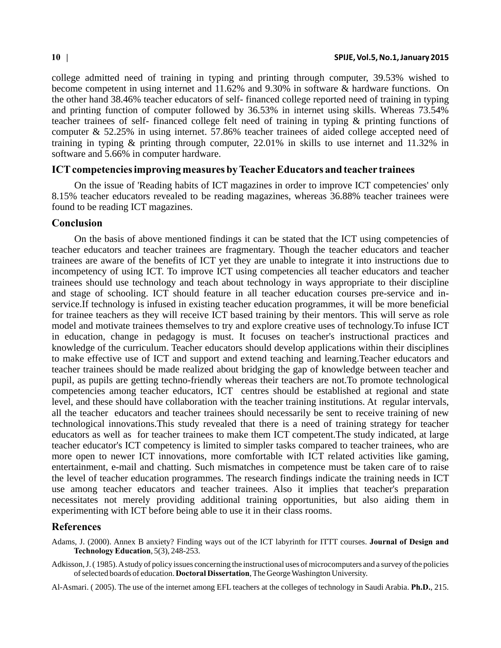college admitted need of training in typing and printing through computer, 39.53% wished to become competent in using internet and 11.62% and 9.30% in software & hardware functions. On the other hand 38.46% teacher educators of self- financed college reported need of training in typing and printing function of computer followed by 36.53% in internet using skills. Whereas 73.54% teacher trainees of self- financed college felt need of training in typing & printing functions of computer & 52.25% in using internet. 57.86% teacher trainees of aided college accepted need of training in typing & printing through computer, 22.01% in skills to use internet and 11.32% in software and 5.66% in computer hardware.

#### **ICT competencies improving measures by Teacher Educators and teacher trainees**

On the issue of 'Reading habits of ICT magazines in order to improve ICT competencies' only 8.15% teacher educators revealed to be reading magazines, whereas 36.88% teacher trainees were found to be reading ICT magazines.

### **Conclusion**

On the basis of above mentioned findings it can be stated that the ICT using competencies of teacher educators and teacher trainees are fragmentary. Though the teacher educators and teacher trainees are aware of the benefits of ICT yet they are unable to integrate it into instructions due to incompetency of using ICT. To improve ICT using competencies all teacher educators and teacher trainees should use technology and teach about technology in ways appropriate to their discipline and stage of schooling. ICT should feature in all teacher education courses pre-service and inservice.If technology is infused in existing teacher education programmes, it will be more beneficial for trainee teachers as they will receive ICT based training by their mentors. This will serve as role model and motivate trainees themselves to try and explore creative uses of technology.To infuse ICT in education, change in pedagogy is must. It focuses on teacher's instructional practices and knowledge of the curriculum. Teacher educators should develop applications within their disciplines to make effective use of ICT and support and extend teaching and learning.Teacher educators and teacher trainees should be made realized about bridging the gap of knowledge between teacher and pupil, as pupils are getting techno-friendly whereas their teachers are not.To promote technological competencies among teacher educators, ICT centres should be established at regional and state level, and these should have collaboration with the teacher training institutions. At regular intervals, all the teacher educators and teacher trainees should necessarily be sent to receive training of new technological innovations.This study revealed that there is a need of training strategy for teacher educators as well as for teacher trainees to make them ICT competent.The study indicated, at large teacher educator's ICT competency is limited to simpler tasks compared to teacher trainees, who are more open to newer ICT innovations, more comfortable with ICT related activities like gaming, entertainment, e-mail and chatting. Such mismatches in competence must be taken care of to raise the level of teacher education programmes. The research findings indicate the training needs in ICT use among teacher educators and teacher trainees. Also it implies that teacher's preparation necessitates not merely providing additional training opportunities, but also aiding them in experimenting with ICT before being able to use it in their class rooms.

### **References**

- Adams, J. (2000). Annex B anxiety? Finding ways out of the ICT labyrinth for ITTT courses. **Journal of Design and Technology Education**, 5(3), 248-253.
- Adkisson, J. ( 1985). A study of policy issues concerning the instructional uses of microcomputers and a survey of the policies of selected boards of education. **Doctoral Dissertation**, The George Washington University.
- Al-Asmari. ( 2005). The use of the internet among EFL teachers at the colleges of technology in Saudi Arabia. **Ph.D.**, 215.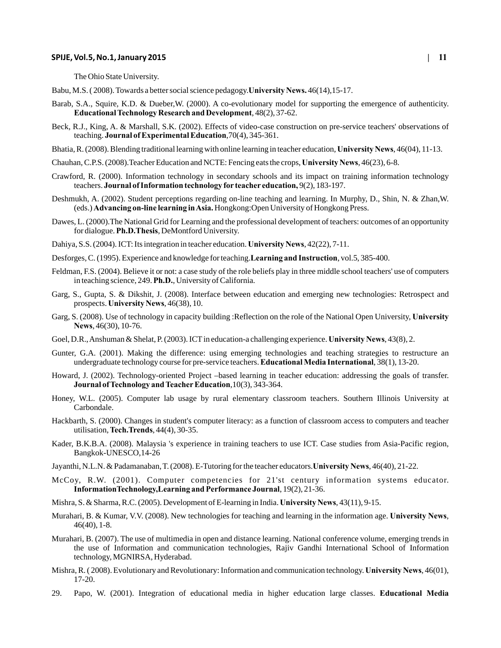#### **SPIJE, Vol.5, No.1, January 2015 | 11**

The Ohio State University.

- Babu, M.S. ( 2008). Towards a better social science pedagogy.**University News.** 46(14),15-17.
- Barab, S.A., Squire, K.D. & Dueber,W. (2000). A co-evolutionary model for supporting the emergence of authenticity. **Educational Technology Research and Development**, 48(2), 37-62.
- Beck, R.J., King, A. & Marshall, S.K. (2002). Effects of video-case construction on pre-service teachers' observations of teaching. **Journal of Experimental Education**,70(4), 345-361.
- Bhatia, R. (2008). Blending traditional learning with online learning in teacher education, **University News**, 46(04), 11-13.
- Chauhan, C.P.S. (2008).Teacher Education and NCTE: Fencing eats the crops, **University News**, 46(23), 6-8.
- Crawford, R. (2000). Information technology in secondary schools and its impact on training information technology teachers. **Journal of Information technology for teacher education,** 9(2), 183-197.
- Deshmukh, A. (2002). Student perceptions regarding on-line teaching and learning. In Murphy, D., Shin, N. & Zhan,W. (eds.) **Advancing on-line learning in Asia.** Hongkong:Open University of Hongkong Press.
- Dawes, L. (2000).The National Grid for Learning and the professional development of teachers: outcomes of an opportunity for dialogue. **Ph.D.Thesis**, DeMontford University.
- Dahiya, S.S. (2004). ICT: Its integration in teacher education. **University News**, 42(22), 7-11.
- Desforges, C. (1995). Experience and knowledge for teaching.**Learning and Instruction**, vol.5, 385-400.
- Feldman, F.S. (2004). Believe it or not: a case study of the role beliefs play in three middle school teachers' use of computers in teaching science, 249. **Ph.D.**, University of California.
- Garg, S., Gupta, S. & Dikshit, J. (2008). Interface between education and emerging new technologies: Retrospect and prospects. **University News**, 46(38), 10.
- Garg, S. (2008). Use of technology in capacity building :Reflection on the role of the National Open University, **University News**, 46(30), 10-76.
- Goel, D.R., Anshuman & Shelat, P. (2003). ICT in education-a challenging experience. **University News**, 43(8), 2.
- Gunter, G.A. (2001). Making the difference: using emerging technologies and teaching strategies to restructure an undergraduate technology course for pre-service teachers. **Educational Media International**, 38(1), 13-20.
- Howard, J. (2002). Technology-oriented Project –based learning in teacher education: addressing the goals of transfer. **Journal of Technology and Teacher Education**,10(3), 343-364.
- Honey, W.L. (2005). Computer lab usage by rural elementary classroom teachers. Southern Illinois University at Carbondale.
- Hackbarth, S. (2000). Changes in student's computer literacy: as a function of classroom access to computers and teacher utilisation, **Tech.Trends**, 44(4), 30-35.
- Kader, B.K.B.A. (2008). Malaysia 's experience in training teachers to use ICT. Case studies from Asia-Pacific region, Bangkok-UNESCO,14-26
- Jayanthi, N.L.N. & Padamanaban, T. (2008). E-Tutoring for the teacher educators.**University News**, 46(40), 21-22.
- McCoy, R.W. (2001). Computer competencies for 21'st century information systems educator. **InformationTechnology,Learning and Performance Journal**, 19(2), 21-36.
- Mishra, S. & Sharma, R.C. (2005). Development of E-learning in India. **University News**, 43(11), 9-15.
- Murahari, B. & Kumar, V.V. (2008). New technologies for teaching and learning in the information age. **University News**, 46(40), 1-8.
- Murahari, B. (2007). The use of multimedia in open and distance learning. National conference volume, emerging trends in the use of Information and communication technologies, Rajiv Gandhi International School of Information technology, MGNIRSA, Hyderabad.
- Mishra, R. ( 2008). Evolutionary and Revolutionary: Information and communication technology. **University News**, 46(01), 17-20.
- 29. Papo, W. (2001). Integration of educational media in higher education large classes. **Educational Media**